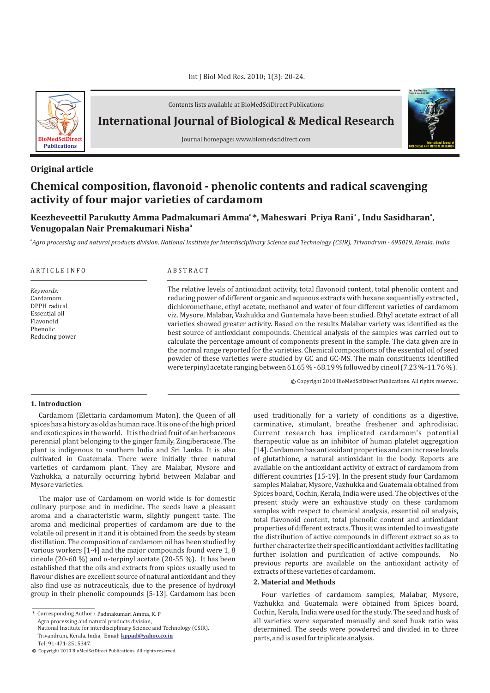

Contents lists available at BioMedSciDirect Publications

**International Journal of Biological & Medical Research** 

Journal homepage: www.biomedscidirect.com

# **Original article**

# **Chemical composition, flavonoid - phenolic contents and radical scavenging activity of four major varieties of cardamom**

# **a, <sup>a</sup> <sup>a</sup> Keezheveettil Parukutty Amma Padmakumari Amma \*, Maheswari Priya Rani , Indu Sasidharan , a Venugopalan Nair Premakumari Nisha**

*a Agro processing and natural products division, National Institute for interdisciplinary Science and Technology (CSIR), Trivandrum - 695019, Kerala, India*

#### A R T I C L E I N F O A B S T R A C T

*Keywords:* Cardamom DPPH radical Essential oil Flavonoid Phenolic Reducing power

The relative levels of antioxidant activity, total flavonoid content, total phenolic content and reducing power of different organic and aqueous extracts with hexane sequentially extracted , dichloromethane, ethyl acetate, methanol and water of four different varieties of cardamom viz. Mysore, Malabar, Vazhukka and Guatemala have been studied. Ethyl acetate extract of all varieties showed greater activity. Based on the results Malabar variety was identified as the best source of antioxidant compounds. Chemical analysis of the samples was carried out to calculate the percentage amount of components present in the sample. The data given are in the normal range reported for the varieties. Chemical compositions of the essential oil of seed powder of these varieties were studied by GC and GC-MS. The main constituents identified were terpinyl acetate ranging between 61.65 % - 68.19 % followed by cineol (7.23 %-11.76 %).

© Copyright 2010 BioMedSciDirect Publications. All rights reserved.

### **1. Introduction**

Cardamom (Elettaria cardamomum Maton), the Queen of all spices has a history as old as human race. It is one of the high priced and exotic spices in the world. It is the dried fruit of an herbaceous perennial plant belonging to the ginger family, Zingiberaceae. The plant is indigenous to southern India and Sri Lanka. It is also cultivated in Guatemala. There were initially three natural varieties of cardamom plant. They are Malabar, Mysore and Vazhukka, a naturally occurring hybrid between Malabar and Mysore varieties.

The major use of Cardamom on world wide is for domestic culinary purpose and in medicine. The seeds have a pleasant aroma and a characteristic warm, slightly pungent taste. The aroma and medicinal properties of cardamom are due to the volatile oil present in it and it is obtained from the seeds by steam distillation. The composition of cardamom oil has been studied by various workers [1-4] and the major compounds found were 1, 8 cineole (20-60 %) and  $\alpha$ -terpinyl acetate (20-55 %). It has been established that the oils and extracts from spices usually used to flavour dishes are excellent source of natural antioxidant and they also find use as nutraceuticals, due to the presence of hydroxyl group in their phenolic compounds [5-13]. Cardamom has been

\* Corresponding Author : Padmakumari Amma, K. P

Agro processing and natural products division,

National Institute for interdisciplinary Science and Technology (CSIR), Trivandrum, Kerala, India, Email: **kppad@yahoo.co.in**

used traditionally for a variety of conditions as a digestive, carminative, stimulant, breathe freshener and aphrodisiac. Current research has implicated cardamom's potential therapeutic value as an inhibitor of human platelet aggregation [14]. Cardamom has antioxidant properties and can increase levels of glutathione, a natural antioxidant in the body. Reports are available on the antioxidant activity of extract of cardamom from different countries [15-19]. In the present study four Cardamom samples Malabar, Mysore, Vazhukka and Guatemala obtained from Spices board, Cochin, Kerala, India were used. The objectives of the present study were an exhaustive study on these cardamom samples with respect to chemical analysis, essential oil analysis, total flavonoid content, total phenolic content and antioxidant properties of different extracts. Thus it was intended to investigate the distribution of active compounds in different extract so as to further characterize their specific antioxidant activities facilitating further isolation and purification of active compounds. No previous reports are available on the antioxidant activity of extracts of these varieties of cardamom.

#### **2. Material and Methods**

Four varieties of cardamom samples, Malabar, Mysore, Vazhukka and Guatemala were obtained from Spices board, Cochin, Kerala, India were used for the study. The seed and husk of all varieties were separated manually and seed husk ratio was determined. The seeds were powdered and divided in to three parts, and is used for triplicate analysis.



Tel: 91-471-2515347.

c Copyright 2010 BioMedSciDirect Publications. All rights reserved.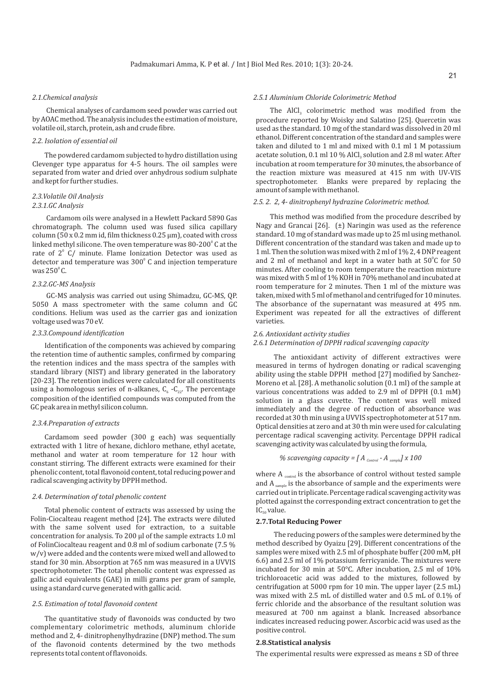#### *2.1.Chemical analysis*

Chemical analyses of cardamom seed powder was carried out by AOAC method. The analysis includes the estimation of moisture, volatile oil, starch, protein, ash and crude fibre.

#### *2.2. Isolation of essential oil*

The powdered cardamom subjected to hydro distillation using Clevenger type apparatus for 4-5 hours. The oil samples were separated from water and dried over anhydrous sodium sulphate and kept for further studies.

# *2.3.Volatile Oil Analysis*

# *2.3.1.GC Analysis*

Cardamom oils were analysed in a Hewlett Packard 5890 Gas chromatograph. The column used was fused silica capillary column (50 x 0.2 mm id, film thickness 0.25  $\mu$ m), coated with cross linked methyl silicone. The oven temperature was 80-200 $^{\circ}$  C at the rate of  $2^{\circ}$  C/ minute. Flame Ionization Detector was used as detector and temperature was  $300^{\circ}$  C and injection temperature was  $250^{\circ}$  C.

#### *2.3.2.GC-MS Analysis*

GC-MS analysis was carried out using Shimadzu, GC-MS, QP. 5050 A mass spectrometer with the same column and GC conditions. Helium was used as the carrier gas and ionization voltage used was 70 eV.

#### *2.3.3.Compound identification*

Identification of the components was achieved by comparing the retention time of authentic samples, confirmed by comparing the retention indices and the mass spectra of the samples with standard library (NIST) and library generated in the laboratory [20-23]. The retention indices were calculated for all constituents using a homologous series of n-alkanes,  $C_6$  - $C_{22}$ . The percentage composition of the identified compounds was computed from the GC peak area in methyl silicon column.

#### *2.3.4.Preparation of extracts*

Cardamom seed powder (300 g each) was sequentially extracted with 1 litre of hexane, dichloro methane, ethyl acetate, methanol and water at room temperature for 12 hour with constant stirring. The different extracts were examined for their phenolic content, total flavonoid content, total reducing power and radical scavenging activity by DPPH method.

#### *2.4. Determination of total phenolic content*

Total phenolic content of extracts was assessed by using the Folin-Ciocalteau reagent method [24]. The extracts were diluted with the same solvent used for extraction, to a suitable concentration for analysis. To 200 µl of the sample extracts 1.0 ml of FolinCiocalteau reagent and 0.8 ml of sodium carbonate (7.5 % w/v) were added and the contents were mixed well and allowed to stand for 30 min. Absorption at 765 nm was measured in a UVVIS spectrophotometer. The total phenolic content was expressed as gallic acid equivalents (GAE) in milli grams per gram of sample, using a standard curve generated with gallic acid.

#### *2.5. Estimation of total flavonoid content*

The quantitative study of flavonoids was conducted by two complementary colorimetric methods, aluminum chloride method and 2, 4- dinitrophenylhydrazine (DNP) method. The sum of the flavonoid contents determined by the two methods represents total content of flavonoids.

### *2.5.1 Aluminium Chloride Colorimetric Method*

The  $A|Cl<sub>3</sub>$  colorimetric method was modified from the procedure reported by Woisky and Salatino [25]. Quercetin was used as the standard. 10 mg of the standard was dissolved in 20 ml ethanol. Different concentration of the standard and samples were taken and diluted to 1 ml and mixed with 0.1 ml 1 M potassium acetate solution, 0.1 ml 10 % AlCl<sub>3</sub> solution and 2.8 ml water. After incubation at room temperature for 30 minutes, the absorbance of the reaction mixture was measured at 415 nm with UV-VIS spectrophotometer. Blanks were prepared by replacing the amount of sample with methanol.

#### *2.5. 2. 2, 4- dinitrophenyl hydrazine Colorimetric method.*

This method was modified from the procedure described by Nagy and Grancai [26]. (±) Naringin was used as the reference standard. 10 mg of standard was made up to 25 ml using methanol. Different concentration of the standard was taken and made up to 1 ml. Then the solution was mixed with 2 ml of 1% 2, 4 DNP reagent and 2 ml of methanol and kept in a water bath at  $50^{\circ}$ C for  $50$ minutes. After cooling to room temperature the reaction mixture was mixed with 5 ml of 1% KOH in 70% methanol and incubated at room temperature for 2 minutes. Then 1 ml of the mixture was taken, mixed with 5 ml of methanol and centrifuged for 10 minutes. The absorbance of the supernatant was measured at 495 nm. Experiment was repeated for all the extractives of different varieties.

#### *2.6. Antioxidant activity studies*

#### *2.6.1 Determination of DPPH radical scavenging capacity*

The antioxidant activity of different extractives were measured in terms of hydrogen donating or radical scavenging ability using the stable DPPH method [27] modified by Sanchez-Moreno et al. [28]. A methanolic solution (0.1 ml) of the sample at various concentrations was added to 2.9 ml of DPPH (0.1 mM) solution in a glass cuvette. The content was well mixed immediately and the degree of reduction of absorbance was recorded at 30 th min using a UVVIS spectrophotometer at 517 nm. Optical densities at zero and at 30 th min were used for calculating percentage radical scavenging activity. Percentage DPPH radical scavenging activity was calculated by using the formula,

% scavending capacity = 
$$
[A_{control} - A_{sample}] \times 100
$$

where  $A_{control}$  is the absorbance of control without tested sample and  $A_{sample}$  is the absorbance of sample and the experiments were carried out in triplicate. Percentage radical scavenging activity was plotted against the corresponding extract concentration to get the IC<sub>co</sub>value.

#### **2.7.Total Reducing Power**

The reducing powers of the samples were determined by the method described by Oyaizu [29]. Different concentrations of the samples were mixed with 2.5 ml of phosphate buffer (200 mM, pH 6.6) and 2.5 ml of 1% potassium ferricyanide. The mixtures were incubated for 30 min at 50°C. After incubation, 2.5 ml of 10% trichloroacetic acid was added to the mixtures, followed by centrifugation at 5000 rpm for 10 min. The upper layer (2.5 mL) was mixed with 2.5 mL of distilled water and 0.5 mL of 0.1% of ferric chloride and the absorbance of the resultant solution was measured at 700 nm against a blank. Increased absorbance indicates increased reducing power. Ascorbic acid was used as the positive control.

#### **2.8.Statistical analysis**

The experimental results were expressed as means ± SD of three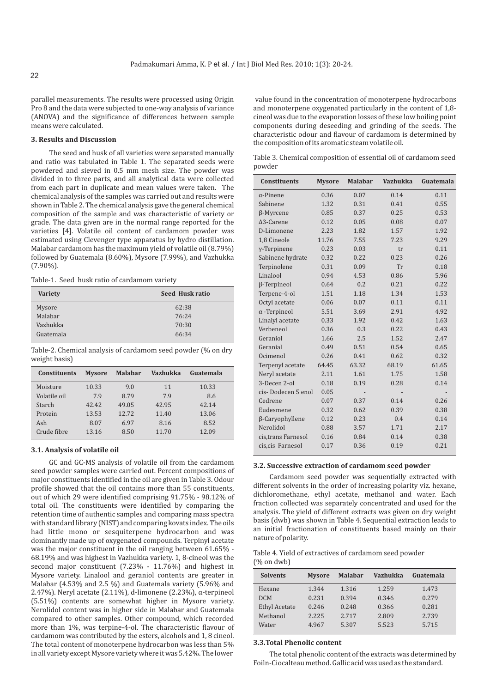parallel measurements. The results were processed using Origin Pro 8 and the data were subjected to one-way analysis of variance (ANOVA) and the significance of differences between sample means were calculated.

# **3. Results and Discussion**

The seed and husk of all varieties were separated manually and ratio was tabulated in Table 1. The separated seeds were powdered and sieved in 0.5 mm mesh size. The powder was divided in to three parts, and all analytical data were collected from each part in duplicate and mean values were taken. The chemical analysis of the samples was carried out and results were shown in Table 2. The chemical analysis gave the general chemical composition of the sample and was characteristic of variety or grade. The data given are in the normal range reported for the varieties [4]. Volatile oil content of cardamom powder was estimated using Clevenger type apparatus by hydro distillation. Malabar cardamom has the maximum yield of volatile oil (8.79%) followed by Guatemala (8.60%), Mysore (7.99%), and Vazhukka (7.90%).

Table-1. Seed husk ratio of cardamom variety

| <b>Variety</b> | Seed Husk ratio |
|----------------|-----------------|
| Mysore         | 62:38           |
| Malabar        | 76:24           |
| Vazhukka       | 70:30           |
| Guatemala      | 66:34           |
|                |                 |

Table-2. Chemical analysis of cardamom seed powder (% on dry weight basis)

| <b>Constituents</b> | <b>Mysore</b> | <b>Malabar</b> | Vazhukka | Guatemala |
|---------------------|---------------|----------------|----------|-----------|
| Moisture            | 10.33         | 9.0            | 11       | 10.33     |
| Volatile oil        | 7.9           | 8.79           | 7.9      | 8.6       |
| Starch              | 42.42         | 49.05          | 42.95    | 42.14     |
| Protein             | 13.53         | 12.72          | 11.40    | 13.06     |
| Ash                 | 8.07          | 6.97           | 8.16     | 8.52      |
| Crude fibre         | 13.16         | 8.50           | 11.70    | 12.09     |

#### **3.1. Analysis of volatile oil**

GC and GC-MS analysis of volatile oil from the cardamom seed powder samples were carried out. Percent compositions of major constituents identified in the oil are given in Table 3. Odour profile showed that the oil contains more than 55 constituents, out of which 29 were identified comprising 91.75% - 98.12% of total oil. The constituents were identified by comparing the retention time of authentic samples and comparing mass spectra with standard library (NIST) and comparing kovats index. The oils had little mono or sesquiterpene hydrocarbon and was dominantly made up of oxygenated compounds. Terpinyl acetate was the major constituent in the oil ranging between 61.65% - 68.19% and was highest in Vazhukka variety. 1, 8-cineol was the second major constituent (7.23% - 11.76%) and highest in Mysore variety. Linalool and geraniol contents are greater in Malabar (4.53% and 2.5 %) and Guatemala variety (5.96% and 2.47%). Neryl acetate  $(2.11\%)$ , d-limonene  $(2.23\%)$ ,  $\alpha$ -terpineol (5.51%) contents are somewhat higher in Mysore variety. Nerolidol content was in higher side in Malabar and Guatemala compared to other samples. Other compound, which recorded more than 1%, was terpine-4-ol. The characteristic flavour of cardamom was contributed by the esters, alcohols and 1, 8 cineol. The total content of monoterpene hydrocarbon was less than 5% in all variety except Mysore variety where it was 5.42%. The lower

value found in the concentration of monoterpene hydrocarbons and monoterpene oxygenated particularly in the content of 1,8 cineol was due to the evaporation losses of these low boiling point components during deseeding and grinding of the seeds. The characteristic odour and flavour of cardamom is determined by the composition of its aromatic steam volatile oil.

Table 3. Chemical composition of essential oil of cardamom seed powder

| <b>Constituents</b> | <b>Mysore</b> | <b>Malabar</b> | <b>Vazhukka</b> | Guatemala |
|---------------------|---------------|----------------|-----------------|-----------|
| $\alpha$ -Pinene    | 0.36          | 0.07           | 0.14            | 0.11      |
| Sabinene            | 1.32          | 0.31           | 0.41            | 0.55      |
| $\beta$ -Myrcene    | 0.85          | 0.37           | 0.25            | 0.53      |
| $\Delta$ 3-Carene   | 0.12          | 0.05           | 0.08            | 0.07      |
| D-Limonene          | 2.23          | 1.82           | 1.57            | 1.92      |
| 1.8 Cineole         | 11.76         | 7.55           | 7.23            | 9.29      |
| $y$ -Terpinene      | 0.23          | 0.03           | tr              | 0.11      |
| Sabinene hydrate    | 0.32          | 0.22           | 0.23            | 0.26      |
| Terpinolene         | 0.31          | 0.09           | Tr              | 0.18      |
| Linalool            | 0.94          | 4.53           | 0.86            | 5.96      |
| $\beta$ -Terpineol  | 0.64          | 0.2            | 0.21            | 0.22      |
| Terpene-4-ol        | 1.51          | 1.18           | 1.34            | 1.53      |
| Octyl acetate       | 0.06          | 0.07           | 0.11            | 0.11      |
| $\alpha$ -Terpineol | 5.51          | 3.69           | 2.91            | 4.92      |
| Linalyl acetate     | 0.33          | 1.92           | 0.42            | 1.63      |
| Verbeneol           | 0.36          | 0.3            | 0.22            | 0.43      |
| Geraniol            | 1.66          | 2.5            | 1.52            | 2.47      |
| Geranial            | 0.49          | 0.51           | 0.54            | 0.65      |
| Ocimenol            | 0.26          | 0.41           | 0.62            | 0.32      |
| Terpenyl acetate    | 64.45         | 63.32          | 68.19           | 61.65     |
| Neryl acetate       | 2.11          | 1.61           | 1.75            | 1.58      |
| 3-Decen 2-ol        | 0.18          | 0.19           | 0.28            | 0.14      |
| cis-Dodecen 5 enol  | 0.05          |                |                 |           |
| Cedrene             | 0.07          | 0.37           | 0.14            | 0.26      |
| Eudesmene           | 0.32          | 0.62           | 0.39            | 0.38      |
| β-Caryophyllene     | 0.12          | 0.23           | 0.4             | 0.14      |
| Nerolidol           | 0.88          | 3.57           | 1.71            | 2.17      |
| cis, trans Farnesol | 0.16          | 0.84           | 0.14            | 0.38      |
| cis, cis Farnesol   | 0.17          | 0.36           | 0.19            | 0.21      |

#### **3.2. Successive extraction of cardamom seed powder**

Cardamom seed powder was sequentially extracted with different solvents in the order of increasing polarity viz. hexane, dichloromethane, ethyl acetate, methanol and water. Each fraction collected was separately concentrated and used for the analysis. The yield of different extracts was given on dry weight basis (dwb) was shown in Table 4. Sequential extraction leads to an initial fractionation of constituents based mainly on their nature of polarity.

Table 4. Yield of extractives of cardamom seed powder (% on dwb)

| <b>Solvents</b>      | <b>Mysore</b> | <b>Malabar</b> | <b>Vazhukka</b> | Guatemala |
|----------------------|---------------|----------------|-----------------|-----------|
| Hexane               | 1.344         | 1.316          | 1.259           | 1.473     |
| <b>DCM</b>           | 0.231         | 0.394          | 0.346           | 0.279     |
| <b>Ethyl Acetate</b> | 0.246         | 0.248          | 0.366           | 0.281     |
| Methanol             | 2.225         | 2.717          | 2.809           | 2.739     |
| Water                | 4.967         | 5.307          | 5.523           | 5.715     |

#### **3.3.Total Phenolic content**

The total phenolic content of the extracts was determined by Foiln-Ciocalteau method. Gallic acid was used as the standard.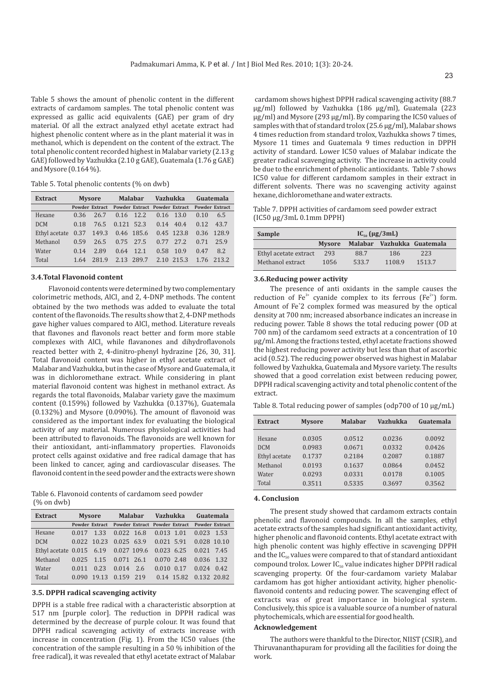Table 5 shows the amount of phenolic content in the different extracts of cardamom samples. The total phenolic content was expressed as gallic acid equivalents (GAE) per gram of dry material. Of all the extract analyzed ethyl acetate extract had highest phenolic content where as in the plant material it was in methanol, which is dependent on the content of the extract. The total phenolic content recorded highest in Malabar variety (2.13 g GAE) followed by Vazhukka (2.10 g GAE), Guatemala (1.76 g GAE) and Mysore (0.164 %).

Table 5. Total phenolic contents (% on dwb)

| <b>Extract</b>             |      | <b>Mysore</b>         |            | <b>Malabar</b>                       | Vazhukka |             |      | Guatemala             |
|----------------------------|------|-----------------------|------------|--------------------------------------|----------|-------------|------|-----------------------|
|                            |      | <b>Powder Extract</b> |            | <b>Powder Extract Powder Extract</b> |          |             |      | <b>Powder Extract</b> |
| Hexane                     | 0.36 | 26.7                  |            | $0.16$ 12.2                          |          | $0.16$ 13.0 | 0.10 | 6.5                   |
| <b>DCM</b>                 | 0.18 | 76.5                  | 0.121 52.3 |                                      |          | $0.14$ 40.4 | 0.12 | 43.7                  |
| Ethyl acetate $0.37$ 149.3 |      |                       | 0.46 185.6 |                                      |          | 0.45 123.8  |      | 0.36 128.9            |
| Methanol                   | 0.59 | 26.5                  |            | $0.75$ 27.5                          | 0.77     | 2.7.2       | 0.71 | 25.9                  |
| Water                      | 0.14 | 2.89                  | 0.64       | 12.1                                 | 0.58     | 10.9        | 0.47 | 8.2                   |
| Total                      | 1.64 | 281.9                 |            | 2.13 289.7                           |          | 2.10 2.15.3 |      | 1.76 213.2            |

# **3.4.Total Flavonoid content 3.6.Reducing power activity**

Flavonoid contents were determined by two complementary colorimetric methods,  $A|Cl_3$  and 2, 4-DNP methods. The content obtained by the two methods was added to evaluate the total content of the flavonoids. The results show that 2, 4-DNP methods gave higher values compared to AlCl<sub>3</sub> method. Literature reveals that flavones and flavonols react better and form more stable complexes with AlCl<sub>3</sub> while flavanones and dihydroflavonols reacted better with 2, 4-dinitro-phenyl hydrazine [26, 30, 31]. Total flavonoid content was higher in ethyl acetate extract of Malabar and Vazhukka, but in the case of Mysore and Guatemala, it was in dichloromethane extract. While considering in plant material flavonoid content was highest in methanol extract. As regards the total flavonoids, Malabar variety gave the maximum content (0.159%) followed by Vazhukka (0.137%), Guatemala (0.132%) and Mysore (0.090%). The amount of flavonoid was considered as the important index for evaluating the biological activity of any material. Numerous physiological activities had been attributed to flavonoids. The flavonoids are well known for their antioxidant, anti-inflammatory properties. Flavonoids protect cells against oxidative and free radical damage that has been linked to cancer, aging and cardiovascular diseases. The flavonoid content in the seed powder and the extracts were shown

Table 6. Flavonoid contents of cardamom seed powder (% on dwb)

| <b>Extract</b>                                  |              | <b>Mysore</b> | <b>Malabar</b>                                              | Vazhukka                  |            |              | Guatemala |
|-------------------------------------------------|--------------|---------------|-------------------------------------------------------------|---------------------------|------------|--------------|-----------|
|                                                 |              |               | Powder Extract Powder Extract Powder Extract Powder Extract |                           |            |              |           |
| Hexane                                          | 0.017        | 1.33          |                                                             | $0.022$ 16.8 $0.013$ 1.01 |            | $0.023$ 1.53 |           |
| <b>DCM</b>                                      |              | 0.022 10.23   | $0.025$ 63.9                                                | $0.021$ 5.91              |            | 0.028 10.10  |           |
| Ethyl acetate 0.015 6.19 0.027 109.6 0.023 6.25 |              |               |                                                             |                           |            | $0.021$ 7.45 |           |
| Methanol                                        | $0.025$ 1.15 |               | $0.071$ 26.1                                                | $0.070$ 2.48              |            | 0.036 1.32   |           |
| Water                                           | 0.011        | 0.23          | $0.014$ 2.6                                                 | 0.010                     | 0.17       | $0.024$ 0.42 |           |
| Total                                           | 0.090        | 19.13         | 0.159 219                                                   |                           | 0.14 15.82 | 0.132 20.82  |           |

#### **3.5. DPPH radical scavenging activity**

DPPH is a stable free radical with a characteristic absorption at 517 nm [purple color]. The reduction in DPPH radical was determined by the decrease of purple colour. It was found that DPPH radical scavenging activity of extracts increase with increase in concentration (Fig. 1). From the IC50 values (the concentration of the sample resulting in a 50 % inhibition of the free radical), it was revealed that ethyl acetate extract of Malabar

cardamom shows highest DPPH radical scavenging activity (88.7 µg/ml) followed by Vazhukka (186 µg/ml), Guatemala (223 µg/ml) and Mysore (293 µg/ml). By comparing the IC50 values of samples with that of standard trolox (25.6 µg/ml), Malabar shows 4 times reduction from standard trolox, Vazhukka shows 7 times, Mysore 11 times and Guatemala 9 times reduction in DPPH activity of standard. Lower IC50 values of Malabar indicate the greater radical scavenging activity. The increase in activity could be due to the enrichment of phenolic antioxidants. Table 7 shows IC50 value for different cardamom samples in their extract in different solvents. There was no scavenging activity against hexane, dichloromethane and water extracts.

Table 7. DPPH activities of cardamom seed powder extract (IC50 µg/3mL 0.1mm DPPH)

| Sample                | $IC_{50}$ (µg/3mL) |       |        |                            |  |
|-----------------------|--------------------|-------|--------|----------------------------|--|
|                       | <b>Mysore</b>      |       |        | Malabar Vazhukka Guatemala |  |
| Ethyl acetate extract | 293                | 88.7  | 186    | 223                        |  |
| Methanol extract      | 1056               | 533.7 | 1108.9 | 1513.7                     |  |

The presence of anti oxidants in the sample causes the reduction of Fe<sup>3+</sup> cyanide complex to its ferrous (Fe<sup>2+</sup>) form. Amount of Fe<sup>+2</sup> complex formed was measured by the optical density at 700 nm; increased absorbance indicates an increase in reducing power. Table 8 shows the total reducing power (OD at 700 nm) of the cardamom seed extracts at a concentration of 10 ìg/ml. Among the fractions tested, ethyl acetate fractions showed the highest reducing power activity but less than that of ascorbic acid (0.52). The reducing power observed was highest in Malabar followed by Vazhukka, Guatemala and Mysore variety. The results showed that a good correlation exist between reducing power, DPPH radical scavenging activity and total phenolic content of the extract.

Table 8. Total reducing power of samples (odp700 of 10  $\mu$ g/mL)

| <b>Extract</b> | <b>Mysore</b> | <b>Malabar</b> | Vazhukka | Guatemala |
|----------------|---------------|----------------|----------|-----------|
| Hexane         | 0.0305        | 0.0512         | 0.0236   | 0.0092    |
|                |               |                |          |           |
| <b>DCM</b>     | 0.0983        | 0.0671         | 0.0332   | 0.0426    |
| Ethyl acetate  | 0.1737        | 0.2184         | 0.2087   | 0.1887    |
| Methanol       | 0.0193        | 0.1637         | 0.0864   | 0.0452    |
| Water          | 0.0293        | 0.0331         | 0.0178   | 0.1005    |
| Total          | 0.3511        | 0.5335         | 0.3697   | 0.3562    |

#### **4. Conclusion**

The present study showed that cardamom extracts contain phenolic and flavonoid compounds. In all the samples, ethyl acetate extracts of the samples had significant antioxidant activity, higher phenolic and flavonoid contents. Ethyl acetate extract with high phenolic content was highly effective in scavenging DPPH and the  $IC_{50}$  values were compared to that of standard antioxidant compound trolox. Lower  $IC_{50}$  value indicates higher DPPH radical scavenging property. Of the four-cardamom variety Malabar cardamom has got higher antioxidant activity, higher phenolicflavonoid contents and reducing power. The scavenging effect of extracts was of great importance in biological system. Conclusively, this spice is a valuable source of a number of natural phytochemicals, which are essential for good health.

#### **Acknowledgement**

The authors were thankful to the Director, NIIST (CSIR), and Thiruvananthapuram for providing all the facilities for doing the work.